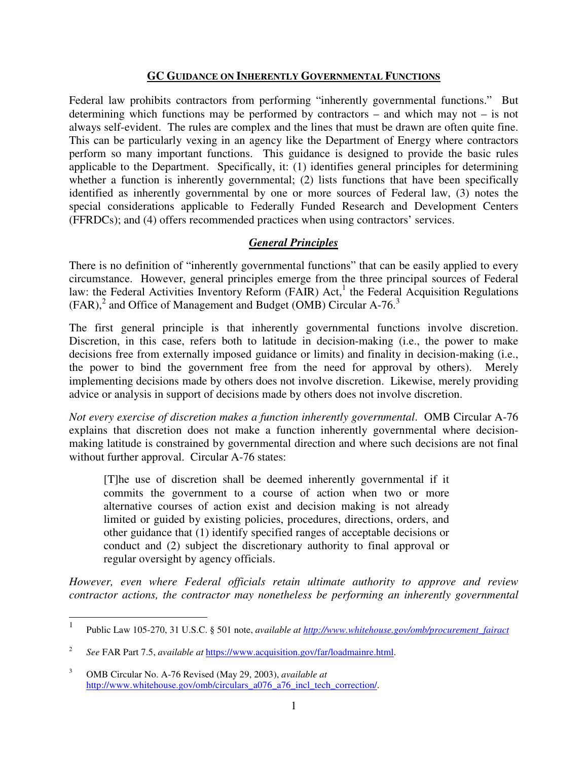#### **GC GUIDANCE ON INHERENTLY GOVERNMENTAL FUNCTIONS**

Federal law prohibits contractors from performing "inherently governmental functions." But determining which functions may be performed by contractors – and which may not – is not always self-evident. The rules are complex and the lines that must be drawn are often quite fine. This can be particularly vexing in an agency like the Department of Energy where contractors perform so many important functions. This guidance is designed to provide the basic rules applicable to the Department. Specifically, it: (1) identifies general principles for determining whether a function is inherently governmental; (2) lists functions that have been specifically identified as inherently governmental by one or more sources of Federal law, (3) notes the special considerations applicable to Federally Funded Research and Development Centers (FFRDCs); and (4) offers recommended practices when using contractors' services.

### *General Principles*

There is no definition of "inherently governmental functions" that can be easily applied to every circumstance. However, general principles emerge from the three principal sources of Federal law: the Federal Activities Inventory Reform (FAIR) Act,<sup>1</sup> the Federal Acquisition Regulations  $(FAR)<sup>2</sup>$  and Office of Management and Budget (OMB) Circular A-76.<sup>3</sup>

The first general principle is that inherently governmental functions involve discretion. Discretion, in this case, refers both to latitude in decision-making (i.e., the power to make decisions free from externally imposed guidance or limits) and finality in decision-making (i.e., the power to bind the government free from the need for approval by others). Merely implementing decisions made by others does not involve discretion. Likewise, merely providing advice or analysis in support of decisions made by others does not involve discretion.

*Not every exercise of discretion makes a function inherently governmental*. OMB Circular A-76 explains that discretion does not make a function inherently governmental where decisionmaking latitude is constrained by governmental direction and where such decisions are not final without further approval. Circular A-76 states:

[T]he use of discretion shall be deemed inherently governmental if it commits the government to a course of action when two or more alternative courses of action exist and decision making is not already limited or guided by existing policies, procedures, directions, orders, and other guidance that (1) identify specified ranges of acceptable decisions or conduct and (2) subject the discretionary authority to final approval or regular oversight by agency officials.

*However, even where Federal officials retain ultimate authority to approve and review contractor actions, the contractor may nonetheless be performing an inherently governmental* 

 $\overline{a}$ 

<sup>1</sup> Public Law 105-270, 31 U.S.C. § 501 note, *available at http://www.whitehouse.gov/omb/procurement\_fairact*

<sup>2</sup>  *See* FAR Part 7.5, *available at* https://www.acquisition.gov/far/loadmainre.html.

<sup>3</sup> OMB Circular No. A-76 Revised (May 29, 2003), *available at*  http://www.whitehouse.gov/omb/circulars\_a076\_a76\_incl\_tech\_correction/.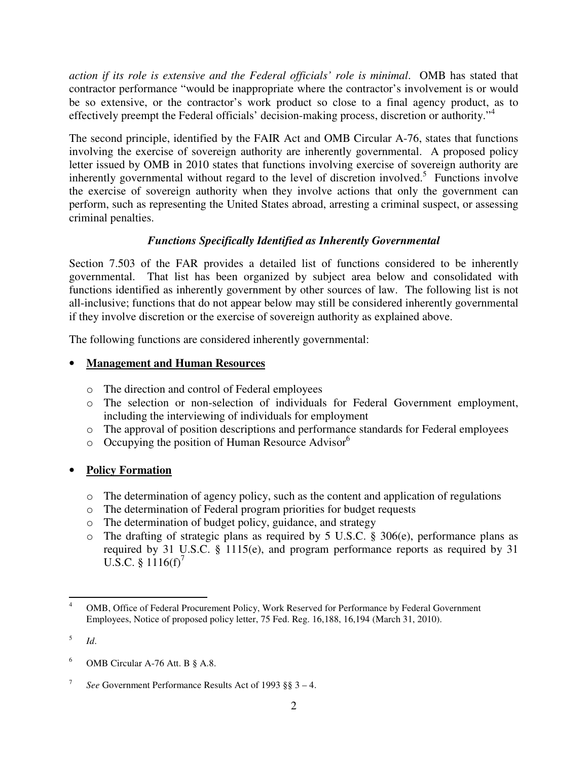*action if its role is extensive and the Federal officials' role is minimal*. OMB has stated that contractor performance "would be inappropriate where the contractor's involvement is or would be so extensive, or the contractor's work product so close to a final agency product, as to effectively preempt the Federal officials' decision-making process, discretion or authority."<sup>4</sup>

The second principle, identified by the FAIR Act and OMB Circular A-76, states that functions involving the exercise of sovereign authority are inherently governmental. A proposed policy letter issued by OMB in 2010 states that functions involving exercise of sovereign authority are inherently governmental without regard to the level of discretion involved.<sup>5</sup> Functions involve the exercise of sovereign authority when they involve actions that only the government can perform, such as representing the United States abroad, arresting a criminal suspect, or assessing criminal penalties.

## *Functions Specifically Identified as Inherently Governmental*

Section 7.503 of the FAR provides a detailed list of functions considered to be inherently governmental. That list has been organized by subject area below and consolidated with functions identified as inherently government by other sources of law. The following list is not all-inclusive; functions that do not appear below may still be considered inherently governmental if they involve discretion or the exercise of sovereign authority as explained above.

The following functions are considered inherently governmental:

### • **Management and Human Resources**

- o The direction and control of Federal employees
- o The selection or non-selection of individuals for Federal Government employment, including the interviewing of individuals for employment
- o The approval of position descriptions and performance standards for Federal employees
- $\circ$  Occupying the position of Human Resource Advisor<sup>6</sup>

## • **Policy Formation**

- $\circ$  The determination of agency policy, such as the content and application of regulations
- o The determination of Federal program priorities for budget requests
- o The determination of budget policy, guidance, and strategy
- o The drafting of strategic plans as required by 5 U.S.C. § 306(e), performance plans as required by 31 U.S.C. § 1115(e), and program performance reports as required by 31 U.S.C.  $§ 1116(f)'$

 $\overline{a}$ 

<sup>4</sup> OMB, Office of Federal Procurement Policy, Work Reserved for Performance by Federal Government Employees, Notice of proposed policy letter, 75 Fed. Reg. 16,188, 16,194 (March 31, 2010).

<sup>5</sup> *Id*.

<sup>6</sup> OMB Circular A-76 Att. B § A.8.

<sup>7</sup> *See* Government Performance Results Act of 1993 §§ 3 – 4.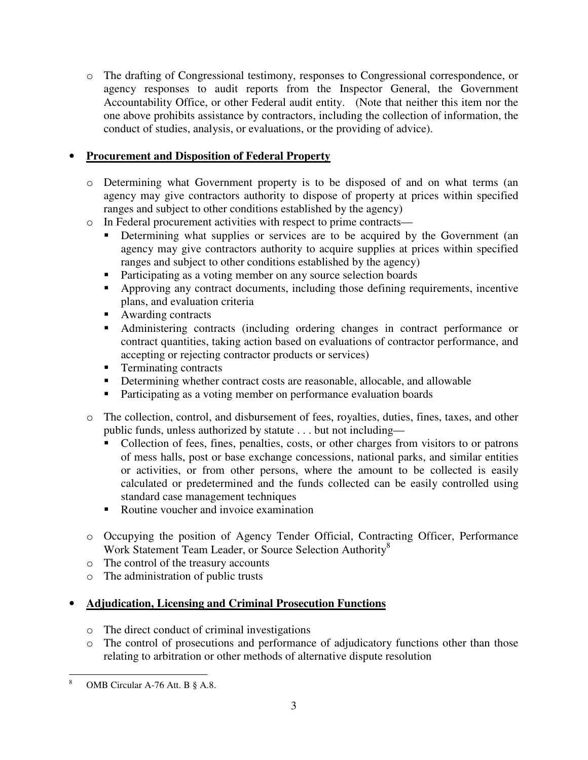o The drafting of Congressional testimony, responses to Congressional correspondence, or agency responses to audit reports from the Inspector General, the Government Accountability Office, or other Federal audit entity. (Note that neither this item nor the one above prohibits assistance by contractors, including the collection of information, the conduct of studies, analysis, or evaluations, or the providing of advice).

### • **Procurement and Disposition of Federal Property**

- o Determining what Government property is to be disposed of and on what terms (an agency may give contractors authority to dispose of property at prices within specified ranges and subject to other conditions established by the agency)
- o In Federal procurement activities with respect to prime contracts—
	- **Determining what supplies or services are to be acquired by the Government (an** agency may give contractors authority to acquire supplies at prices within specified ranges and subject to other conditions established by the agency)
	- Participating as a voting member on any source selection boards
	- Approving any contract documents, including those defining requirements, incentive plans, and evaluation criteria
	- Awarding contracts
	- Administering contracts (including ordering changes in contract performance or contract quantities, taking action based on evaluations of contractor performance, and accepting or rejecting contractor products or services)
	- **Terminating contracts**
	- Determining whether contract costs are reasonable, allocable, and allowable
	- **Participating as a voting member on performance evaluation boards**
- o The collection, control, and disbursement of fees, royalties, duties, fines, taxes, and other public funds, unless authorized by statute . . . but not including—
	- Collection of fees, fines, penalties, costs, or other charges from visitors to or patrons of mess halls, post or base exchange concessions, national parks, and similar entities or activities, or from other persons, where the amount to be collected is easily calculated or predetermined and the funds collected can be easily controlled using standard case management techniques
	- Routine voucher and invoice examination
- o Occupying the position of Agency Tender Official, Contracting Officer, Performance Work Statement Team Leader, or Source Selection Authority<sup>8</sup>
- o The control of the treasury accounts
- o The administration of public trusts

## • **Adjudication, Licensing and Criminal Prosecution Functions**

- o The direct conduct of criminal investigations
- o The control of prosecutions and performance of adjudicatory functions other than those relating to arbitration or other methods of alternative dispute resolution

 $\overline{a}$ 

<sup>8</sup> OMB Circular A-76 Att. B § A.8.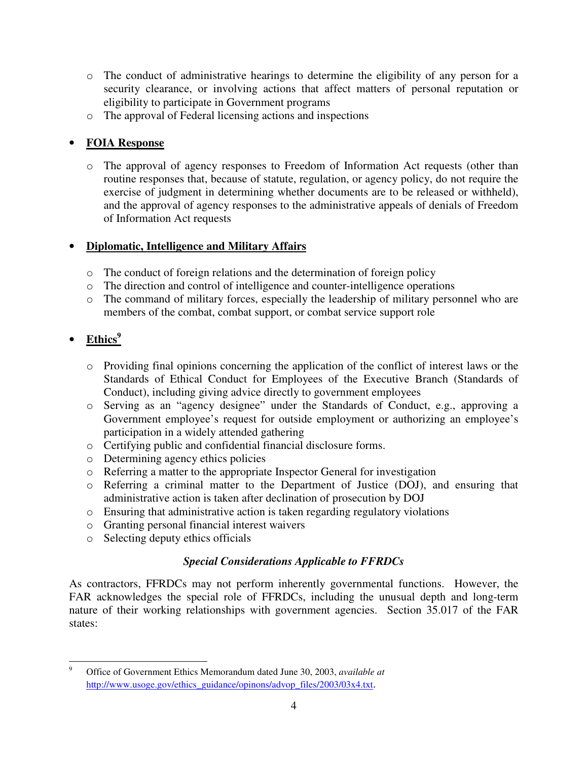- o The conduct of administrative hearings to determine the eligibility of any person for a security clearance, or involving actions that affect matters of personal reputation or eligibility to participate in Government programs
- o The approval of Federal licensing actions and inspections

## • **FOIA Response**

o The approval of agency responses to Freedom of Information Act requests (other than routine responses that, because of statute, regulation, or agency policy, do not require the exercise of judgment in determining whether documents are to be released or withheld), and the approval of agency responses to the administrative appeals of denials of Freedom of Information Act requests

### • **Diplomatic, Intelligence and Military Affairs**

- o The conduct of foreign relations and the determination of foreign policy
- o The direction and control of intelligence and counter-intelligence operations
- o The command of military forces, especially the leadership of military personnel who are members of the combat, combat support, or combat service support role

# • **Ethics<sup>9</sup>**

l

- o Providing final opinions concerning the application of the conflict of interest laws or the Standards of Ethical Conduct for Employees of the Executive Branch (Standards of Conduct), including giving advice directly to government employees
- o Serving as an "agency designee" under the Standards of Conduct, e.g., approving a Government employee's request for outside employment or authorizing an employee's participation in a widely attended gathering
- o Certifying public and confidential financial disclosure forms.
- o Determining agency ethics policies
- o Referring a matter to the appropriate Inspector General for investigation
- o Referring a criminal matter to the Department of Justice (DOJ), and ensuring that administrative action is taken after declination of prosecution by DOJ
- o Ensuring that administrative action is taken regarding regulatory violations
- o Granting personal financial interest waivers
- o Selecting deputy ethics officials

## *Special Considerations Applicable to FFRDCs*

As contractors, FFRDCs may not perform inherently governmental functions. However, the FAR acknowledges the special role of FFRDCs, including the unusual depth and long-term nature of their working relationships with government agencies. Section 35.017 of the FAR states:

<sup>9</sup> Office of Government Ethics Memorandum dated June 30, 2003, *available at* http://www.usoge.gov/ethics\_guidance/opinons/advop\_files/2003/03x4.txt.